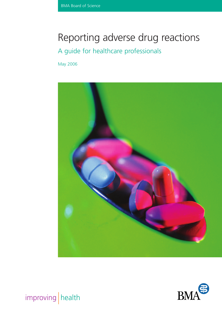# Reporting adverse drug reactions

# A guide for healthcare professionals

May 2006





 $improwing$  health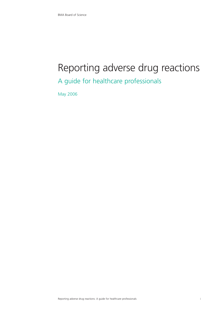# Reporting adverse drug reactions

A guide for healthcare professionals

May 2006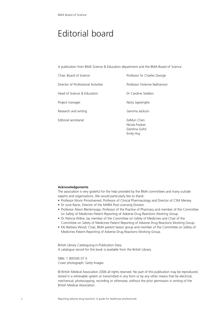# Editorial board

A publication from BMA Science & Education department and the BMA Board of Science

| Chair, Board of Science             | Professor Sir Charles George                 |
|-------------------------------------|----------------------------------------------|
| Director of Professional Activities | Professor Vivienne Nathanson                 |
| Head of Science & Education         | Dr Caroline Seddon                           |
| Project manager                     | Nicky Jayesinghe                             |
| Research and writing                | Gemma Jackson                                |
| Editorial secretariat               | EeMun Chen<br>Nicola Fookes<br>Darshna Gohil |

### **Acknowledgements**

The association is very grateful for the help provided by the BMA committees and many outside experts and organisations. We would particularly like to thank:

- Professor Munir Pirmohamed, Professor of Clinical Pharmacology and Director of CSM Mersey.
- Dr June Raine, Director of the MHRA Post Licensing Division.
- Professor Alison Blenkinsopp, Professor of the Practice of Pharmacy and member of the Committee on Safety of Medicines Patient Reporting of Adverse Drug Reactions Working Group.

Emily Hoy

- Dr Patricia Wilkie, lay member of the Committee on Safety of Medicines and Chair of the Committee on Safety of Medicines Patient Reporting of Adverse Drug Reactions Working Group.
- Ms Barbara Wood, Chair, BMA patient liaison group and member of the Committee on Safety of Medicines Patient Reporting of Adverse Drug Reactions Working Group.

British Library Cataloguing-in-Publication Data. A catalogue record for this book is available from the British Library.

ISBN: 1 905545 07 X Cover photograph: Getty Images

© British Medical Association 2006 all rights reserved. No part of this publication may be reproduced, stored in a retrievable system or transmitted in any form or by any other means that be electrical, mechanical, photocopying, recording or otherwise, without the prior permission in writing of the British Medical Association.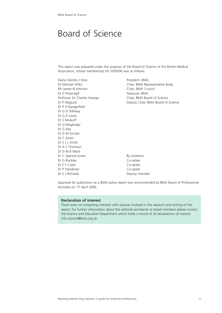# Board of Science

This report was prepared under the auspices of the Board of Science of the British Medical Association, whose membership for 2005/06 was as follows:

Dame Deirdre J Hine **President**, BMA Dr Michael Wilks Chair, BMA Representative Body Mr James N Johnson Chair, BMA Council Dr D Pickersgill Treasurer, BMA Professor Sir Charles George Chair, BMA Board of Science Dr P Maguire **Deputy Chair**, BMA Board of Science Dr P H Dangerfield Dr G D Dilliway Dr G D Lewis Dr S Minkoff Dr O Moghraby Dr G Rae Dr D M Sinclair Dr C Smith Dr S J L Smith Dr A S Thomson Dr D M B Ward Dr C Spencer-Jones By invitation Dr G Buckley **Co-optee** Dr E F Coyle Co-optee Dr P Steadman Co-optee Dr S J Richards Deputy member

Approval for publication as a BMA policy report was recommended by BMA Board of Professional Activities on 17 April 2006.

### **Declaration of interest**

There were no competing interests with anyone involved in the research and writing of this report. For further information about the editorial secretariat or board members please contact the Science and Education Department which holds a record of all declarations of interest: info.science@bma.org.uk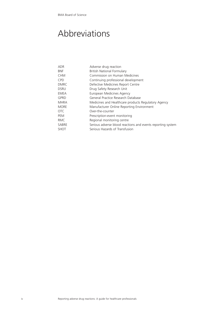# Abbreviations

| ADR         | Adverse drug reaction                                       |
|-------------|-------------------------------------------------------------|
| <b>BNF</b>  | British National Formulary                                  |
| CHM         | Commission on Human Medicines                               |
| CPD         | Continuing professional development                         |
| <b>DMRC</b> | Defective Medicines Report Centre                           |
| DSRU        | Drug Safety Research Unit                                   |
| EMEA        | European Medicines Agency                                   |
| <b>GPRD</b> | General Practice Research Database                          |
| MHRA        | Medicines and Healthcare products Regulatory Agency         |
| <b>MORE</b> | Manufacturer Online Reporting Environment                   |
| OTC         | Over-the-counter                                            |
| PEM         | Prescription-event monitoring                               |
| RMC.        | Regional monitoring centre                                  |
| SABRE       | Serious adverse blood reactions and events reporting system |
| SHOT        | Serious Hazards of Transfusion                              |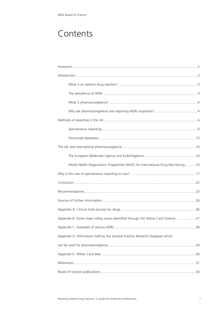# Contents

| World Health Organisation Programme (WHO) for International Drug Monitoring16     |
|-----------------------------------------------------------------------------------|
|                                                                                   |
|                                                                                   |
|                                                                                   |
|                                                                                   |
|                                                                                   |
| Appendix B: Some major safety issues identified through the Yellow Card Scheme 27 |
|                                                                                   |
| Appendix D: Information held by the General Practice Research Database which      |
|                                                                                   |
|                                                                                   |
|                                                                                   |
|                                                                                   |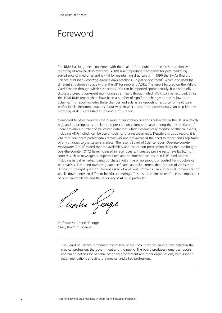# Foreword

The BMA has long been concerned with the health of the public and believes that effective reporting of adverse drug reactions (ADRs) is an important mechanism for post-marketing surveillance of medicines and is vital for maintaining drug safety. In 1996 the BMA's Board of Science published *Reporting adverse drug reactions – a policy document<sup>'</sup>, which discussed the* different structures in place within the UK for reporting ADRs. The report focused on the Yellow Card Scheme through which suspected ADRs can be reported spontaneously, but also briefly discussed prescription-event monitoring as a means through which ADRs can be recorded. Since the 1996 BMA report, there have been a number of significant changes to the Yellow Card Scheme. This report includes these changes and acts as a signposting resource for healthcare professionals. Recommendations about ways in which healthcare professionals can help improve reporting of ADRs are listed at the end of this report.

Compared to other countries the number of spontaneous reports submitted in the UK is relatively high and reporting rates in relation to prescription volumes are also among the best in Europe. There are also a number of structured databases which systematically monitor healthcare events, including ADRs, which can be useful tools for pharmacovigilance. Despite this good record, it is vital that healthcare professionals remain vigilant, are aware of the need to report and keep track of any changes to the systems in place. The recent Board of Science report *Over-the-counter* medication (2005)<sup>3</sup> stated that the availability and use of non-prescription drugs that are bought over-the-counter (OTC) have increased in recent years. Increased private sector availability from sources such as newsagents, supermarkets and the internet can result in OTC medications, including herbal remedies, being purchased with little or no support or control from doctors or pharmacists. This trend towards greater self-care can make correct identification of ADRs more difficult if the right questions are not asked of a patient. Problems can also arise if communication breaks down between different healthcare settings. This resource aims to reinforce the importance of pharmacovigilance and the reporting of ADRs in particular.

Thain Leage

Professor Sir Charles George Chair, Board of Science

The Board of Science, a standing committee of the BMA, provides an interface between the medical profession, the government and the public. The board produces numerous reports containing policies for national action by government and other organisations, with specific recommendations affecting the medical and allied professions.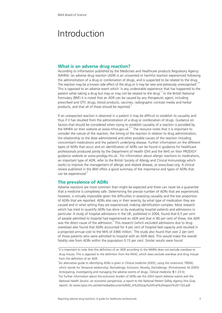# Introduction

### **What is an adverse drug reaction?**

According to information published by the Medicines and Healthcare products Regulatory Agency (MHRA) 'an adverse drug reaction (ADR) is an unwanted or harmful reaction experienced following the administration of a drug or combination of drugs, and is suspected to be related to the drug. The reaction may be a known side effect of the drug or it may be new and previously unrecognised'. $4$ This is opposed to an adverse event which 'is any undesirable experience that has happened to the patient while taking a drug but may or may not be related to the drug'.<sup>4</sup> In the British National Formulary (BNF) it is noted that an ADR can be caused by any therapeutic agent, including prescribed and OTC drugs, blood products, vaccines, radiographic contrast media and herbal products, and that all of these should be reported.<sup>5</sup>

If an unexpected reaction is observed in a patient it may be difficult to establish its causality and thus if it has resulted from the administration of a drug or combination of drugs. Guidance on factors that should be considered when trying to establish causality of a reaction is provided by the MHRA on their website at www.mhra.gov.uk.<sup>6, b</sup> The resource notes that it is important to consider the nature of the reaction, the timing of the reaction in relation to drug administration, the relationship to the dose administered and other possible causes of the reaction including concomitant medications and the patient's underlying disease. Further information on the different types of ADRs that occur and on identification of ADRs can be found in guidance for healthcare professionals produced jointly by the Department of Health (DH) and the NHS on their PRODIGY guidance website at www.prodigy.nhs.uk.<sup>7</sup> For information about allergic reactions to medications, an important type of ADR, refer to the British Society of Allergy and Clinical Immunology which works to improve the management of allergic and related disease, at www.bsaci.org. A clinical review published in the *BMJ* offers a good summary of the importance and types of ADRs that can be experienced.

### **The prevalence of ADRs**

Adverse reactions are more common than might be expected and there can never be a guarantee that a medicine is completely safe. Determining the precise number of ADRs that are experienced, however, is virtually impossible given the difficulties in assessing causality and the low proportion of ADRs that are reported. ADRs also vary in their severity, by what type of medication they are caused and in what setting they are experienced, making identification complex. Most research which has tried to quantify ADRs has done so by evaluating hospital patients and admissions in particular. A study of hospital admissions in the UK, published in 2004, found that 6.5 per cent of people admitted to hospital had experienced an ADR and that in 80 per cent of those, the ADR was the direct cause of the admission.<sup>9</sup> This research (which excluded admissions due to drug overdose) also found that ADRs accounted for 4 per cent of hospital bed capacity and resulted in a projected annual cost to the NHS of £466 million. The study also found that over 2 per cent of those patients who were admitted to hospital with an ADR died. This would make the overall fatality rate from ADRs within the population 0.15 per cent. Similar results were found

<sup>a</sup>lt is important to note that this definition of an ADR according to the MHRA does not exclude overdose or drug misuse. This is opposed to the definition from the WHO, which does exclude overdose and drug misuse from the definition of an ADR.

b An alternative guide to identifying ADRs is given in *Clinical medicine* (2005), using the mnemonic TREND, which stands for Temporal relationship, Rechallenge, Exclusion, Novelty, Dechallenge. (Pirmohamed, M (2005) Anticipating, investigating and managing the adverse events of drugs. *Clinical medicine*, **5**:1 23-5). For further information about the economic burden of ADRs see the 2003 report *Adverse events and the National Health Service: an economic perspective, a report to the National Patient Safety Agency* (the Gray report). At www.npsa.nhs.uk/site/media/documents/940\_A%20Gray%20final%20report%201103.pdf.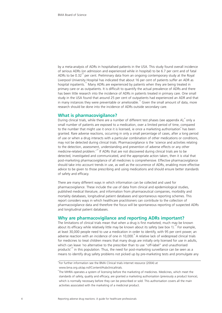by a meta-analysis of ADRs in hospitalised patients in the USA. This study found overall incidence of serious ADRs (on admission and experienced while in hospital) to be 6.7 per cent and of fatal ADRs to be  $0.32<sup>10</sup>$  per cent. Preliminary data from an ongoing contemporary study at the Royal Liverpool University Hospital has indicated that about 16 per cent of patients suffer an ADR as hospital inpatients.<sup>11</sup> Many ADRs are experienced by patients when they are being treated in primary care or as outpatients. It is difficult to quantify the actual prevalence of ADRs and there has been little research into the incidence of ADRs in patients treated in primary care. One small study in the USA found that around 25 per cent of outpatients had experienced an ADR and that in many instances they were preventable or ameliorable.<sup>12</sup> Given the small amount of data, more research should be done into the incidence of ADRs outside secondary care.

## **What is pharmacovigilance?**

During clinical trials, while there are a number of different test phases (see appendix A), only a small number of patients are exposed to a medication, over a limited period of time, compared to the number that might use it once it is licensed, ie once a marketing authorisation has been granted. Rare adverse reactions, occurring in only a small percentage of cases, after a long period of use or when a drug interacts with a particular combination of other medications or conditions, may not be detected during clinical trials. Pharmacovigilance is the 'science and activities relating to the detection, assessment, understanding and prevention of adverse effects or any other medicine-related problem.<sup>13</sup> If ADRs that are not discovered during clinical trials are to be detected, investigated and communicated, and the appropriate action taken, then it is vital that post-marketing pharmacovigilance of all medicines is comprehensive. Effective pharmacovigilance should take into account trends in use, as well as the occurrence of ADRs, enabling more effective advice to be given to those prescribing and using medications and should ensure better standards of safety and efficacy.

There are many different ways in which information can be collected and used for pharmacovigilance. These include the use of data from clinical and epidemiological studies, published medical literature, and information from pharmaceutical companies, morbidity and mortality databases, longitudinal patient databases and spontaneous reporting schemes. This report considers ways in which healthcare practitioners can contribute to the collection of pharmacovigilance data and therefore the focus will be spontaneous reporting of suspected ADRs and longitudinal patient databases.

### **Why are pharmacovigilance and reporting ADRs important?**

The limitations of clinical trials mean that when a drug is first marketed, much may be known about its efficacy while relatively little may be known about its safety (see box 1).<sup> $4$ </sup> For example, at least 30,000 people need to use a medication in order to identify, with 95 per cent power, an adverse reaction with an incidence of one in 10,000.<sup>8</sup> A relative lack of widespread clinical trials for medicines to treat children means that many drugs are initially only licensed for use in adults, which can leave 'no alternative to the prescriber than to use "off-label" and unauthorised products<sup>15</sup> in this population. Thus, the need for post-marketing surveillance can be seen as a means to identify drug safety problems not picked up by pre-marketing tests and promulgate any

d For further information see the BMA Clinical trials internet resource (2004) at

www.bma.org.uk/ap.nsf/Content/Hubclinicaltrials.

e The MHRA operates a system of licensing before the marketing of medicines. Medicines, which meet the standards of safety, quality and efficacy, are granted a marketing authorisation (previously a product licence), which is normally necessary before they can be prescribed or sold. This authorisation covers all the main activities associated with the marketing of a medicinal product.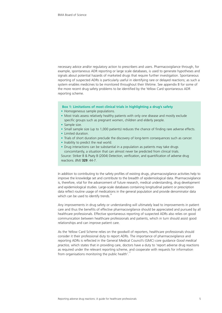necessary advice and/or regulatory action to prescribers and users. Pharmacovigilance through, for example, spontaneous ADR reporting or large scale databases, is used to generate hypotheses and signals about potential hazards of marketed drugs that require further investigation. Spontaneous reporting of suspected ADRs is particularly useful in identifying rare or delayed reactions; as such a system enables medicines to be monitored throughout their lifetime. See appendix B for some of the more recent drug safety problems to be identified by the Yellow Card spontaneous ADR reporting scheme.

### **Box 1: Limitations of most clinical trials in highlighting a drug's safety**

- Homogeneous sample populations.
- Most trials assess relatively healthy patients with only one disease and mostly exclude specific groups such as pregnant women, children and elderly people.
- Sample size.
- Small sample size (up to 1,000 patients) reduces the chance of finding rare adverse effects.
- Limited duration.
- Trials of short duration preclude the discovery of long-term consequences such as cancer.
- Inability to predict the real world.
- Drug interactions can be substantial in a population as patients may take drugs concomitantly, a situation that can almost never be predicted from clinical trials. Source: Striker B & Psaty B (2004) Detection, verification, and quantification of adverse drug reactions. *BMJ* **329**: 44-7.

In addition to contributing to the safety profiles of existing drugs, pharmacovigilance activities help to improve the knowledge set and contribute to the breadth of epidemiological data. Pharmacovigilance is, therefore, vital for the advancement of future research, medical understanding, drug development and epidemiological studies. Large-scale databases containing longitudinal patient or prescription data reflect routine usage of medications in the general population and provide denominator data which can be used to identify trends.<sup>1</sup>

Any improvements in drug safety or understanding will ultimately lead to improvements in patient care and thus the benefits of effective pharmacovigilance should be appreciated and pursued by all healthcare professionals. Effective spontaneous reporting of suspected ADRs also relies on good communication between healthcare professionals and patients, which in turn should assist good relationships and can improve patient care.

As the Yellow Card Scheme relies on the goodwill of reporters, healthcare professionals should consider it their professional duty to report ADRs. The importance of pharmacovigilance and reporting ADRs is reflected in the General Medical Council's (GMC) core guidance *Good medical practice,* which states that in providing care, doctors have a duty to 'report adverse drug reactions as required under the relevant reporting scheme, and cooperate with requests for information from organisations monitoring the public health'.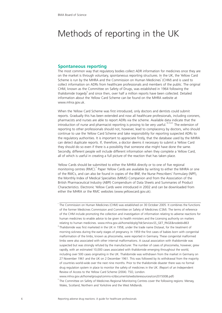# Methods of reporting in the UK

### **Spontaneous reporting**

f

The most common way that regulatory bodies collect ADR information for medicines once they are on the market is through voluntary, spontaneous reporting structures. In the UK, the Yellow Card Scheme is run by the MHRA and the Commission on Human Medicines (CHM) and is used to collect information on ADRs from healthcare professionals and members of the public. The original CHM, known as the Committee on Safety of Drugs, was established in 1964 following the thalidomide tragedy<sup>9</sup> and since then, over half a million reports have been collected. Detailed information about the Yellow Card Scheme can be found on the MHRA website at www.mhra.gov.uk.

When the Yellow Card Scheme was first introduced, only doctors and dentists could submit reports. Gradually this has been extended and now all healthcare professionals, including coroners, pharmacists and nurses are able to report ADRs via the scheme. Available data indicate that the introduction of nurse and pharmacist reporting is proving to be very useful.<sup>18,19,20</sup> The extension of reporting to other professionals should not, however, lead to complacency by doctors, who should continue to use the Yellow Card Scheme and take responsibility for reporting suspected ADRs to the regulatory authorities. It is important to appreciate firstly, that the database used by the MHRA can detect duplicate reports. If, therefore, a doctor deems it necessary to submit a Yellow Card they should do so even if there is a possibility that someone else might have done the same. Secondly, different people will include different information when they complete a Yellow Card, all of which is useful in creating a full picture of the reaction that has taken place.

Yellow Cards should be submitted to either the MHRA directly or to one of five regional monitoring centres (RMC).<sup>h</sup> Paper Yellow Cards are available by writing to either the MHRA or one of the RMCs, and can also be found in copies of the BNF, the Nurse Prescribers' Formulary (NPF), the Monthly Index of Medical Specialties (MIMS) Companion and from the Association of the British Pharmaceutical Industry (ABPI) Compendium of Data Sheets and Summaries of Product Characteristics. Electronic Yellow Cards were introduced in 2002 and can be downloaded from either the MHRA or the RMC websites (www.yellowcard.gov.uk).

The Commission on Human Medicines (CHM) was established on 30 October 2005. It combines the functions of the former Medicines Commission and Committee on Safety of Medicines (CSM). The terms of reference of the CHM include promoting the collection and investigation of information relating to adverse reactions for human medicines to enable advice to be given to health ministers and the Licensing authority on matters relating to human medicines. www.mhra.gov.uk/home/idcplg?IdcService=SS\_GET\_PAGE&nodeId=863 <sup>9</sup> Thalidomide was first marketed in the UK in 1958, under the trade name Distaval, for the treatment of morning sickness during the early stages of pregnancy. In 1959 the first cases of babies born with congenital malformation of the limbs, known as phocomelia, were reported in Germany. These congenital malformed limbs were also associated with other internal malformations. A causal association with thalidomide was suspected but was strongly refuted by the manufacturer. The number of cases of phocomelia, however, grew rapidly, with an estimated 10,000 cases associated with thalidomide emerging throughout the world, including over 500 cases originating in the UK. Thalidomide was withdrawn from the market in Germany on 27 November 1961 and the UK on 2 December 1961. This was followed by its withdrawal from the majority of countries world-wide over the next nine months. Prior to the thalidomide disaster there was no formal drug regulation system in place to monitor the safety of medicines in the UK. (Report of an Independent Review of Access to the Yellow Card Scheme (2004). TSO, London.

www.mhra.gov.uk/home/groups/comms-ic/documents/websiteresources/con2015008.pdf)

h The Committee on Safety of Medicines Regional Monitoring Centres cover the following regions: Mersey, Wales, Scotland, Northern and Yorkshire and the West Midlands.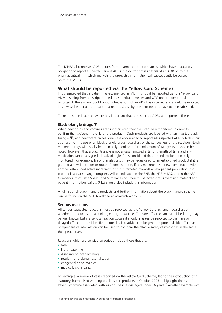The MHRA also receives ADR reports from pharmaceutical companies, which have a statutory obligation to report suspected serious ADRs. If a doctor passes details of an ADR on to the pharmaceutical firm which markets the drug, this information will subsequently be passed on to the MHRA.

### **What should be reported via the Yellow Card Scheme?**

If it is suspected that a patient has experienced an ADR it should be reported using a Yellow Card. ADRs resulting from prescription medicines, herbal remedies and OTC medications can all be reported. If there is any doubt about whether or not an ADR has occurred and should be reported it is always best practice to submit a report. Causality does not need to have been established.

There are some instances where it is important that all suspected ADRs are reported. These are:

### **Black triangle drugs** ▼

When new drugs and vaccines are first marketed they are intensively monitored in order to confirm the risk/benefit profile of the product.<sup>21</sup> Such products are labelled with an inverted black triangle ▼, and healthcare professionals are encouraged to report **all** suspected ADRs which occur as a result of the use of all black triangle drugs regardless of the seriousness of the reaction. Newly marketed drugs will usually be intensively monitored for a minimum of two years. It should be noted, however, that a black triangle is not always removed after this length of time and any medication can be assigned a black triangle if it is considered that it needs to be intensively monitored. For example, black triangle status may be re-assigned to an established product if it is granted a new indication or route of administration, if it is marketed as a new combination with another established active ingredient, or if it is targeted towards a new patient population. If a product is a black triangle drug this will be indicated in the BNF, the NPF, MIMS, and in the ABPI Compendium of Data Sheets and Summaries of Product Characteristics. Advertising material and patient information leaflets (PILs) should also include this information.

A full list of all black triangle products and further information about the black triangle scheme can be found on the MHRA website at www.mhra.gov.uk.

### **Serious reactions**

All serious suspected reactions must be reported via the Yellow Card Scheme, regardless of whether a product is a black triangle drug or vaccine. The side effects of an established drug may be well known but if a serious reaction occurs it should **always** be reported so that rare or delayed effects can be identified, more detailed advice can be given on potential side-effects and comprehensive information can be used to compare the relative safety of medicines in the same therapeutic class.

Reactions which are considered serious include those that are:

- fatal
- life-threatening
- disabling or incapacitating
- result in or prolong hospitalisation
- congenital abnormalities
- medically significant.

For example, a review of cases reported via the Yellow Card Scheme, led to the introduction of a statutory, harmonised warning on all aspirin products in October 2003 to highlight the risk of Reye's Syndrome associated with aspirin use in those aged under 16 years.<sup>22</sup> Another example was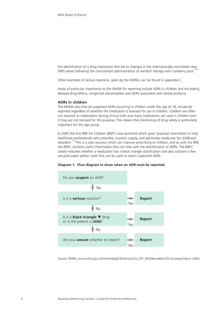the identification of a drug interaction that led to changes in the internationally normalised ratio (INR) values following the concomitant administration of warfarin therapy with cranberry juice.<sup>23</sup>

Other examples of serious reactions, given by the MHRA, can be found in appendix C.

Areas of particular importance to the MHRA for reporting include ADRs in children and the elderly, delayed drug effects, congenital abnormalities and ADRs associated with herbal products.

#### **ADRs in children**

The MHRA asks that all suspected ADRs occurring in children under the age of 18, should be reported regardless of whether the medication is licensed for use in children. Children are often not exposed to medications during clinical trials and many medications are used in children even if they are not licensed for this purpose. This means that monitoring of drug safety is particularly important for this age group.

In 2005 the first BNF for Children (BNFC) was launched which gives 'practical information to help healthcare professionals who prescribe, monitor, supply, and administer medicines for childhood disorders'.<sup>25</sup> This is a vital resource which can improve prescribing to children, and as with the BNF, the BNFC contains useful information that can help with the identification of ADRs. The BNFC clearly indicates whether a medication has a black triangle classification and also contains a few pre-paid paper yellow cards that can be used to report suspected ADRs.



### **Diagram 1: Flow diagram to show when an ADR must be reported.**

Source: MHRA, www.mhra.gov.uk/home/idcplg?IdcService=SS\_GET\_PAGE&nodeId=750 (accessed March 2006)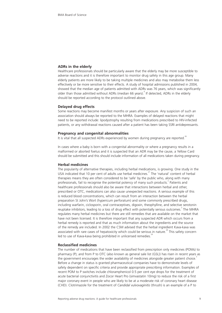### **ADRs in the elderly**

Healthcare professionals should be particularly aware that the elderly may be more susceptible to adverse reactions and it is therefore important to monitor drug safety in this age group. Many elderly patients are more likely to be taking multiple medicines and also may metabolise them less effectively or be more sensitive to their effects. A study of hospital admissions published in 2004, showed that the median age of patients admitted with ADRs was 76 years, which was significantly older than those admitted without ADRs (median 66 years). If detected, ADRs in the elderly should be reported according to the protocol outlined above.

### **Delayed drug effects**

Some reactions may become manifest months or years after exposure. Any suspicion of such an association should always be reported to the MHRA. Examples of delayed reactions that might need to be reported include: lipodystrophy resulting from medications prescribed to HIV-infected patients, or any withdrawal reactions caused after a patient has been taking SSRI antidepressants.

### **Pregnancy and congenital abnormalities**

It is vital that all suspected ADRs experienced by women during pregnancy are reported.<sup>26</sup>

In cases where a baby is born with a congenital abnormality or where a pregnancy results in a malformed or aborted foetus and it is suspected that an ADR may be the cause, a Yellow Card should be submitted and this should include information of all medications taken during pregnancy.

### **Herbal medicines**

The popularity of alternative therapies, including herbal medications, is growing. One study in the USA indicated that 10 per cent of adults use herbal medicines.<sup>27</sup> The 'natural' content of herbal therapies means they are often considered to be 'safe' by the public who, along with many professionals, fail to recognise the potential potency of many such products.<sup>3</sup> Patients and healthcare professionals should also be aware that interactions between herbal and other, prescribed or OTC, medications can also cause unexpected reactions. A serious example of this is reduced blood concentrations, which can result from an interaction between the herbal preparation St John's Wort (hypericum perforatum) and some commonly prescribed drugs, including warfarin, ciclosporin, oral contraceptives, digoxin, theophylline, and selective serotonin reuptake inhibitors, leading to a loss of drug effect with potentially serious outcomes.<sup>3</sup> The MHRA regulates many herbal medicines but there are still remedies that are available on the market that have not been licensed. It is therefore important that any suspected ADR which occurs from a herbal remedy is reported and that as much information about the ingredients and the source of the remedy are included. In 2002 the CSM advised that the herbal ingredient Kava-kava was associated with rare cases of hepatoxicity which could be serious in nature.<sup>28</sup> This safety concern led to use of Kava-kava being prohibited in unlicensed remedies.<sup>2</sup>

### **Reclassified medicines**

The number of medications that have been reclassified from prescription only medicines (POMs) to pharmacy (P); and from P to OTC (also known as general sale list (GSL)) has risen in recent years as the government encourages the wider availability of medicines alongside greater patient choice. Before a change in status is granted pharmaceutical companies have to demonstrate levels of safety dependent on specific criteria and provide appropriate prescribing information. Examples of recent POM to P switches include chloramphenicol 0.5 per cent eye drops for the treatment of acute bacterial conjunctivitis and Zocor Heart Pro (simvastatin 10mg) to reduce the risk of a first major coronary event in people who are likely to be at a moderate risk of coronary heart disease (CHD). Clotrimazole for the treatment of *Candidal vulvovaginitis* (thrush) is an example of a P to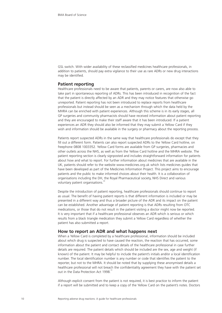GSL switch. With wider availability of these reclassified medicines healthcare professionals, in addition to patients, should pay extra vigilance to their use as rare ADRs or new drug interactions may be identified.

### **Patient reporting**

Healthcare professionals need to be aware that patients, parents or carers, are now also able to take part in spontaneous reporting of ADRs. This has been introduced in recognition of the fact that the patient is directly affected by an ADR and they may notice features that otherwise go unreported. Patient reporting has not been introduced to replace reports from healthcare professionals but instead should be seen as a mechanism through which the data held by the MHRA can be enriched with patient experiences. Although this scheme is in its early stages, all GP surgeries and community pharmacists should have received information about patient reporting and they are encouraged to make their staff aware that it has been introduced. If a patient experiences an ADR they should also be informed that they may submit a Yellow Card if they wish and information should be available in the surgery or pharmacy about the reporting process.

Patients report suspected ADRs in the same way that healthcare professionals do except that they fill out a different form. Patients can also report suspected ADRs to the Yellow Card hotline, on freephone 0808 1003352. Yellow Card forms are available from GP surgeries, pharmacies and other outlets across the NHS, as well as from the Yellow Card hotline and the MHRA website. The patient reporting section is clearly signposted and includes straightforward information for patients about how and what to report. For further information about medicines that are available in the UK, patients should refer to the website www.medicines.org.uk which lists medicines guides that have been developed as part of the Medicines Information Project. This project aims to encourage patients and the public to make informed choices about their health. It is a collaboration of organisations including the DH, the Royal Pharmaceutical society, NHS Direct and various voluntary patient organisations.<sup>3</sup>

Despite the introduction of patient reporting, healthcare professionals should continue to report as usual. The benefit of having patient reports is that different information is included or may be presented in a different way and thus a broader picture of the ADR and its impact on the patient can be established. Another advantage of patient reporting is that ADRs resulting from OTC medications, or those that do not result in the patient visiting a doctor might now be reported. It is very important that if a healthcare professional observes an ADR which is serious or which results from a black triangle medication they submit a Yellow Card regardless of whether the patient has also submitted a report.

### **How to report an ADR and what happens next**

When a Yellow Card is completed by a healthcare professional, information should be included about which drug is suspected to have caused the reaction, the reaction that has occurred, some information about the patient and contact details of the healthcare professional in case further details are required. The patient details which should be included are the sex, age and weight (if known) of the patient. It may be helpful to include the patient's initials and/or a local identification number. The local identification number is any number or code that identifies the patient to the reporter, but not to the MHRA. It should be noted that by supplying these anonymised details a healthcare professional will not breach the confidentiality agreement they have with the patient set out in the Data Protection Act 1998.

Although explicit consent from the patient is not required, it is best practice to inform the patient if a report will be submitted and to keep a copy of the Yellow Card on the patient's notes. Doctors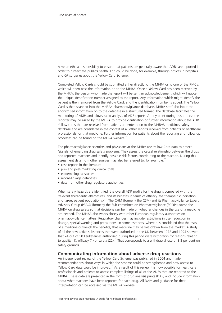have an ethical responsibility to ensure that patients are generally aware that ADRs are reported in order to protect the public's health. This could be done, for example, through notices in hospitals and GP surgeries about the Yellow Card Scheme.

Completed Yellow Cards should be submitted either directly to the MHRA or to one of the RMCs, which will then pass the information on to the MHRA. Once a Yellow Card has been received by the MHRA, the person who made the report will be sent an acknowledgement which will quote the unique identification number assigned to the report. Any information which might identify the patient is then removed from the Yellow Card, and the identification number is added. The Yellow Card is then scanned into the MHRA's pharmacovigilance database. MHRA staff also input the anonymised information on to the database in a structured format. The database facilitates the monitoring of ADRs and allows rapid analysis of ADR reports. At any point during this process the reporter may be asked by the MHRA to provide clarification or further information about the ADR. Yellow cards that are received from patients are entered on to the MHRA's medicines safety database and are considered in the context of all other reports received from patients or healthcare professionals for that medicine. Further information for patients about the reporting and follow up processes can be found on the MHRA website.<sup>3</sup>

The pharmacovigilance scientists and physicians at the MHRA use Yellow Card data to detect 'signals' of emerging drug safety problems. They assess the causal relationship between the drugs and reported reactions and identify possible risk factors contributing to the reaction. During this assessment data from other sources may also be referred to, for example:

- case reports in the literature
- pre- and post-marketing clinical trials
- epidemiological studies
- record-linkage databases
- data from other drug regulatory authorities.

When safety hazards are identified, the overall ADR profile for the drug is compared with the 'relevant therapeutic alternatives, and its benefits in terms of efficacy, the therapeutic indication and target patient population(s)'.<sup>33</sup> The CHM (formerly the CSM) and its Pharmacovigilance Expert Advisory Group (PEAG) (formerly the Sub-committee on Pharmacovigilance (SCOP)) advise the MHRA on drug safety so that decisions can be made on whether changes in the use of a medicine are needed. The MHRA also works closely with other European regulatory authorities on pharmacovigilance matters. Regulatory changes may include restrictions in use, reduction in dosage, special warning and precautions. In some instances, where it is considered that the risks of a medicine outweigh the benefits, that medicine may be withdrawn from the market. A study of all the new active substances that were authorised in the UK between 1972 and 1994 showed that 24 out of 583 substances authorised during this period were withdrawn for reasons relating to quality (1), efficacy (1) or safety (22).<sup>34</sup> That corresponds to a withdrawal rate of 3.8 per cent on safety grounds.

## **Communicating information about adverse drug reactions**

An independent review of the Yellow Card Scheme was published in 2004 and made recommendations about ways in which the scheme could be strengthened and how access to Yellow Card data could be improved.<sup>29</sup> As a result of this review it is now possible for healthcare professionals and patients to access complete listings of all of the ADRs that are reported to the MHRA. These data are presented in the form of drug analysis prints (DAP) and include information about what reactions have been reported for each drug. All DAPs and guidance for their interpretation can be accessed via the MHRA website.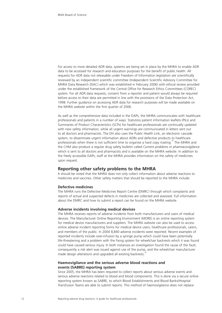For access to more detailed ADR data, systems are being set in place by the MHRA to enable ADR data to be accessed for research and education purposes for the benefit of public health. All requests for ADR data not releasable under Freedom of Information legislation are scientifically reviewed by an independent scientific committee (Independent Scientific Advisory Committee for MHRA Data Research (ISAC) which was established in February 2006) with ethical review provided under the established framework of the Central Office for Research Ethics Committees (COREC) system. For all ADR data requests, consent from a reporter and patient would always be required before access to their data are permitted in line with the provisions of the Data Protection Act, 1998. Further guidance on accessing ADR data for research purposes will be made available on the MHRA website within the first quarter of 2006.

As well as the comprehensive data included in the DAPs, the MHRA communicates with healthcare professionals and patients in a number of ways. Statutory patient information leaflets (PILs) and Summaries of Product Characteristics (SCPs) for healthcare professionals are continually updated with new safety information, while all urgent warnings are communicated in letters sent out to all doctors and pharmacists. The DH also uses the Public Health Link, an electronic cascade system, to disseminate urgent information about ADRs and defective products to healthcare professionals when there is not sufficient time to organise a hard copy mailing.<sup>35</sup> The MHRA and the CHM also produce a regular drug safety bulletin called *Current problems in pharmacovigilance* which is sent to all doctors and pharmacists and is available on the MHRA website. In addition to the freely accessible DAPs, staff at the MHRA provides information on the safety of medicines upon request.

## **Reporting other safety problems to the MHRA**

It should be noted that the MHRA does not only collect information about adverse reactions to medicines and vaccines. Other safety matters that should be reported to the MHRA include:

### **Defective medicines**

The MHRA runs the Defective Medicines Report Centre (DMRC) through which complaints and reports of actual and suspected defects in medicines are collected and assessed. Full information about the DMRC and how to submit a report can be found on the MHRA website.

### **Adverse incidents involving medical devices**

The MHRA receives reports of adverse incidents from both manufacturers and users of medical devices. The Manufacturer Online Reporting Environment (MORE) is an online reporting system for medical device manufacturers and suppliers. The MHRA website can also be used to access online adverse incident reporting forms for medical device users, healthcare professionals, carers, and members of the public. In 2004 8,840 adverse incidents were reported. Recent examples of reported incidents include over-infusion by a syringe pump which could have been potentially life-threatening and a problem with the fixing system for wheelchair backrests which it was found could have caused serious injury. In both instances an investigation found the cause of the fault; consequently a risk alert was issued against use of the pump, and the wheelchair manufacturer made design alterations and upgraded all existing backrests.<sup>3</sup>

### **Haemovigilance and the serious adverse blood reactions and events (SABRE) reporting system**

Since 2005, the MHRA has been required to collect reports about serious adverse events and serious adverse reactions related to blood and blood components. This is done via a secure online reporting system known as SABRE, to which Blood Establishments and Blood Banks/Hospital Transfusion Teams are able to submit reports. This method of haemovigilance does not replace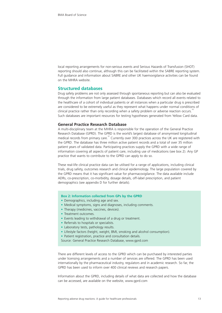local reporting arrangements for non-serious events and Serious Hazards of Transfusion (SHOT) reporting should also continue, although this can be facilitated within the SABRE reporting system. Full guidance and information about SABRE and other UK haemovigilance activities can be found on the MHRA website.

### **Structured databases**

Drug safety problems are not only assessed through spontaneous reporting but can also be evaluated through the information from large patient databases. Databases which record all events related to the healthcare of a cohort of individual patients or all instances when a particular drug is prescribed are considered to be extremely useful as they represent what happens under normal conditions of clinical practice rather than only recording when a safety problem or adverse reaction occurs.<sup>"</sup> Such databases are important resources for testing hypotheses generated from Yellow Card data.

## **General Practice Research Database**

A multi-disciplinary team at the MHRA is responsible for the operation of the General Practice Research Database (GPRD). The GPRD is the world's largest database of anonymised longitudinal medical records from primary care.<sup>37</sup> Currently over 300 practices across the UK are registered with the GPRD. The database has three million active patient records and a total of over 35 million patient years of validated data. Participating practices supply the GPRD with a wide range of information covering all aspects of patient care, including use of medications (see box 2). Any GP practice that wants to contribute to the GPRD can apply to do so.

These real-life clinical practice data can be utilised for a range of applications, including clinical trials, drug safety, outcomes research and clinical epidemiology. The large population covered by the GPRD means that it has significant value for pharmacovigilance. The data available include ADRs, co-prescription, co-morbidity, dosage details, off-label prescription, and patient demographics (see appendix D for further details).

### **Box 2: Information collected from GPs by the GPRD**

- Demographics, including age and sex.
- Medical symptoms, signs and diagnoses, including comments.
- Therapy (medicines, vaccines, devices).
- Treatment outcomes.
- Events leading to withdrawal of a drug or treatment.
- Referrals to hospitals or specialists.
- Laboratory tests, pathology results.
- Lifestyle factors (height, weight, BMI, smoking and alcohol consumption).
- Patient registration, practice and consultation details.
- Source: General Practice Research Database, www.gprd.com

There are different levels of access to the GPRD which can be purchased by interested parties under licensing arrangements and a number of services are offered. The GPRD has been used internationally by the pharmaceutical industry, regulators and in academic research. So far, the GPRD has been used to inform over 400 clinical reviews and research papers.

Information about the GPRD, including details of what data are collected and how the database can be accessed, are available on the website, www.gprd.com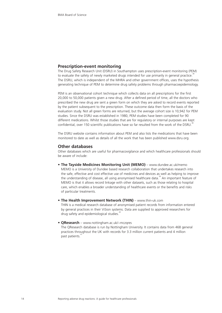## **Prescription-event monitoring**

The Drug Safety Research Unit (DSRU) in Southampton uses prescription-event monitoring (PEM) to evaluate the safety of newly marketed drugs intended for use primarily in general practice.<sup>38</sup> The DSRU, which is independent of the MHRA and other government offices, uses the hypothesis generating technique of PEM to determine drug safety problems through pharmacoepidemiology.

PEM is an observational cohort technique which collects data on all prescriptions for the first 20,000 to 50,000 patients given a new drug. After a defined period of time, all the doctors who prescribed the new drug are sent a green form on which they are asked to record events reported by the patient subsequent to the prescription. These outcome data then form the basis of the evaluation study. Not all green forms are returned, but the average cohort size is 10,942 for PEM studies. Since the DSRU was established in 1980, PEM studies have been completed for 90 different medications. Whilst those studies that are for regulatory or internal purposes are kept confidential, over 150 scientific publications have so far resulted from the work of the DSRU.<sup>3</sup>

The DSRU website contains information about PEM and also lists the medications that have been monitored to date as well as details of all the work that has been published www.dsru.org.

### **Other databases**

Other databases which are useful for pharmacovigilance and which healthcare professionals should be aware of include:

- **The Tayside Medicines Monitoring Unit (MEMO)** www.dundee.ac.uk/memo MEMO is a University of Dundee based research collaboration that undertakes research into the safe, effective and cost effective use of medicines and devices as well as helping to improve the understanding of disease, all using anonymised healthcare data.<sup>39</sup> An important feature of MEMO is that it allows record linkage with other datasets, such as those relating to hospital care, which enables a broader understanding of healthcare events or the benefits and risks of particular treatments.
- **The Health Improvement Network (THIN)** www.thin-uk.com THIN is a medical research database of anonymised patient records from information entered by general practices in their ViSion systems. Data are supplied to approved researchers for drug safety and epidemiological studies.<sup>4</sup>
- **QResearch** www.nottingham.ac.uk/~mczqres The QResearch database is run by Nottingham University. It contains data from 468 general practices throughout the UK with records for 3.3 million current patients and 4 million past patients.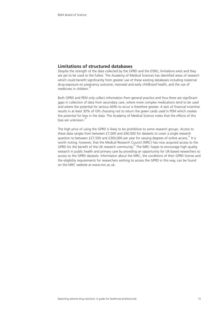# **Limitations of structured databases**

Despite the strength of the data collected by the GPRD and the DSRU, limitations exist and they are yet to be used to the fullest. The Academy of Medical Sciences has identified areas of research which could benefit significantly from greater use of these existing databases including maternal drug exposure on pregnancy outcome, neonatal and early childhood health, and the use of medicines in children.<sup>1</sup>

Both GPRD and PEM only collect information from general practice and thus there are significant gaps in collection of data from secondary care, where more complex medications tend to be used and where the potential for serious ADRs to occur is therefore greater. A lack of financial incentive results in at least 30% of GPs choosing not to return the green cards used in PEM which creates the potential for bias in the data. The Academy of Medical Science notes that the effects of this bias are unknown.<sup>16</sup>

The high price of using the GPRD is likely to be prohibitive to some research groups. Access to these data ranges from between £7,000 and £60,000 for datasets to cover a single research question to between £27,500 and £300,000 per year for varying degrees of online access.<sup>42</sup> It is worth noting, however, that the Medical Research Council (MRC) has now acquired access to the GPRD for the benefit of the UK research community.<sup>43</sup> The MRC hopes to encourage high quality research in public health and primary care by providing an opportunity for UK-based researchers to access to the GPRD datasets. Information about the MRC, the conditions of their GPRD license and the eligibility requirements for researchers wishing to access the GPRD in this way, can be found on the MRC website at www.mrc.ac.uk.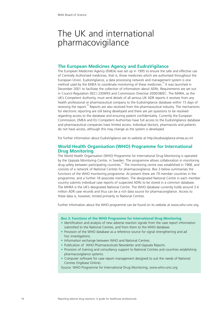# The UK and international pharmacovigilance

## **The European Medicines Agency and EudraVigilance**

The European Medicines Agency (EMEA) was set up in 1995 to ensure the safe and effective use of Centrally Authorised medicines, that is, those medicines which are authorised throughout the European Union. EudraVigilance, a data processing network and management system is one method used by the EMEA to coordinate monitoring of these medicines.<sup>44</sup> It was launched in December 2001 to facilitate the collection of information about ADRs. Requirements are set out in Council Regulation (EEC) 2309/93 and Commission Directive 2000/38/EC. The MHRA, as the UK's Competent Authority, must send details of all serious UK ADR reports it receives from any health professional or pharmaceutical company to the EudraVigilance database within 15 days of receiving the report.<sup>29</sup> Reports are also received from the pharmaceutical industry. The mechanisms for electronic reporting are still being developed and there are yet questions to be resolved regarding access to the database and ensuring patient confidentiality. Currently the European Commission, EMEA and EU Competent Authorities have full access to the EudraVigilance database and pharmaceutical companies have limited access. Individual doctors, pharmacists and patients do not have access, although this may change as the system is developed.

For further information about EudraVigilance see its website at http://eudravigilance.emea.eu.int

## **World Health Organisation (WHO) Programme for International Drug Monitoring**

The World Health Organisation (WHO) Programme for International Drug Monitoring is operated by the Uppsala Monitoring Centre, in Sweden. The programme allows collaboration in monitoring drug safety between participating countries.45 The monitoring centre was established in 1968, and consists of a network of National Centres for pharmacovigilance. Box 3 below summarises the functions of the WHO monitoring programme. At present there are 79 member countries in the programme, and a further 18 associate members. The designated National Centre in each member country submits individual case reports of suspected ADRs to be stored in a common database. The MHRA is the UK's designated National Centre. The WHO database currently holds around 3.4 million ADR case records and thus can be a rich data source for pharmacovigilance. Access to these data is, however, limited primarily to National Centres.

Further information about the WHO programme can be found on its website at www.who-umc.org.

### **Box 3: Functions of the WHO Programme for International Drug Monitoring**

- Identification and analysis of new adverse reaction signals from the case report information submitted to the National Centres, and from them to the WHO database.
- Provision of the WHO database as a reference source for signal strengthening and ad hoc investigations.
- Information exchange between WHO and National Centres.
- Publication of WHO Pharmaceuticals Newsletter and Uppsala Reports.
- Provision of training and consultancy support to National Centres and countries establishing pharmacovigilance systems.
- Computer software for case report management designed to suit the needs of National Centres (Vigibase Online).

Source: WHO Programme for International Drug Monitoring, www.who-umc.org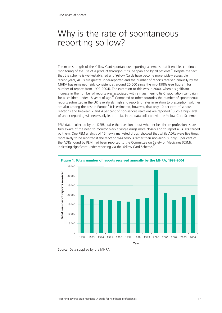# Why is the rate of spontaneous reporting so low?

The main strength of the Yellow Card spontaneous reporting scheme is that it enables continual monitoring of the use of a product throughout its life span and by all patients.<sup>46</sup> Despite the fact that the scheme is well-established and Yellow Cards have become more widely accessible in recent years, ADRs are greatly under-reported and the number of reports received annually by the MHRA has remained fairly consistent at around 20,000 since the mid-1980s (see figure 1 for number of reports from 1992-2004). The exception to this was in 2000, when a significant increase in the number of reports was associated with a mass meningitis C vaccination campaign for all children under 18 years of age.<sup>29</sup> Compared to other countries the number of spontaneous reports submitted in the UK is relatively high and reporting rates in relation to prescription volumes are also among the best in Europe.<sup>2</sup> It is estimated, however, that only 10 per cent of serious reactions and between 2 and 4 per cent of non-serious reactions are reported.<sup>2</sup> Such a high level of under-reporting will necessarily lead to bias in the data collected via the Yellow Card Scheme.

PEM data, collected by the DSRU, raise the question about whether healthcare professionals are fully aware of the need to monitor black triangle drugs more closely and to report all ADRs caused by them. One PEM analysis of 15 newly marketed drugs, showed that while ADRs were five times more likely to be reported if the reaction was serious rather than non-serious, only 9 per cent of the ADRs found by PEM had been reported to the Committee on Safety of Medicines (CSM), indicating significant under-reporting via the Yellow Card Scheme.



Source: Data supplied by the MHRA.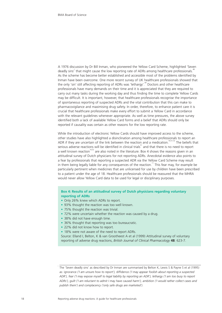A 1976 discussion by Dr Bill Inman, who pioneered the Yellow Card Scheme, highlighted 'Seven deadly sins' that might cause the low reporting rate of ADRs among healthcare professionals.<sup>48</sup> As the scheme has become better established and accessible most of the problems identified by Inman have been overcome. One more recent survey of UK healthcare professionals showed that the only 'sin' still affecting reporting of ADRs was 'lethargy'.<sup>49</sup> Doctors and other healthcare professionals have many demands on their time and it is appreciated that they are required to carry out many tasks during the working day and thus finding the time to complete Yellow Cards may be difficult. It is important, however, that healthcare professionals recognise the importance of spontaneous reporting of suspected ADRs and the vital contribution that this can make to pharmacovigilance and maximising drug safety. In order, therefore, to enhance patient care it is crucial that healthcare professionals make every effort to submit a Yellow Card in accordance with the relevant guidelines whenever appropriate. As well as time pressures, the above survey identified both a lack of available Yellow Card forms and a belief that ADRs should only be reported if causality was certain as other reasons for the low reporting rate.

While the introduction of electronic Yellow Cards should have improved access to the scheme, other studies have also highlighted a disinclination among healthcare professionals to report an ADR if they are uncertain of the link between the reaction and a medication.<sup>50,51,52</sup> The beliefs that serious adverse reactions will be identified in clinical trials $51$  and that there is no need to report a well known reaction<sup>16,52</sup> are also noted in the literature. Box 4 shows the reasons given in an attitudinal survey of Dutch physicians for not reporting ADRs. Anecdotal evidence also points to a fear by professionals that reporting a suspected ADR via the Yellow Card Scheme may result in them being legally liable for any consequences of the reaction.<sup>11</sup> This fear may, for example be particularly pertinent when medicines that are unlicensed for use by children have been prescribed to a patient under the age of 18. Healthcare professionals should be reassured that the MHRA would never allow Yellow Card data to be used for legal or disciplinary purposes.

### **Box 4: Results of an attitudinal survey of Dutch physicians regarding voluntary reporting of ADRs**

- Only 26% knew which ADRs to report.
- 93% thought the reaction was too well known.
- 75% thought the reaction was trivial.
- 72% were uncertain whether the reaction was caused by a drug.
- 38% did not have enough time.
- 36% thought that reporting was too bureaucratic.
- 22% did not know how to report.

i

• 18% were not aware of the need to report ADRs.

Source: Elland I, Belton, K & van Grootheest A et al (1999) Attitudinal survey of voluntary reporting of adverse drug reactions, *British Journal of Clinical Pharmacology* **48**: 623-7.

The 'Seven deadly sins' as described by Dr Inman are summarised by Belton K, Lewis S & Payne S et al (1995) as: ignorance *('I am unsure how to report'),* diffidence *('I may appear foolish about reporting a suspected ADR'), fear ('I may expose myself to legal liability by reporting an ADR'), lethargy ('I am too busy to report ADRs'), guilt ('I am reluctant to admit I may have caused harm'), ambition ('I would rather collect cases and publish them') and complacency ('only safe drugs are marketed').*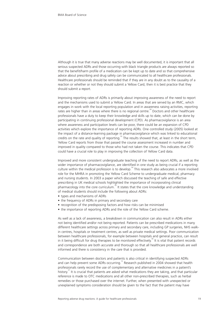Although it is true that many adverse reactions may be well documented, it is important that all serious suspected ADRs and those occurring with black triangle products are always reported so that the benefit/harm profile of a medication can be kept up to date and so that comprehensive advice about prescribing and drug safety can be communicated to all healthcare professionals. Healthcare professionals should be reminded that if they are in any doubt as to the causality of a reaction or whether or not they should submit a Yellow Card, then it is best practice that they should submit a report.

Improving reporting rates of ADRs is primarily about improving awareness of the need to report and the mechanisms used to submit a Yellow Card. In areas that are served by an RMC, which engages in work with the local reporting population and in awareness raising activities, reporting rates are higher than in areas where there is no regional centre.<sup>29</sup> Doctors and other healthcare professionals have a duty to keep their knowledge and skills up to date, which can be done by participating in continuing professional development (CPD). As pharmacovigilance is an area where awareness and participation levels can be poor, there could be an expansion of CPD activities which explore the importance of reporting ADRs. One controlled study (2005) looked at the impact of a distance-learning package in pharmacovigilance which was linked to educational credits on the rate and quality of reporting.<sup>53</sup> The results showed that, at least in the short term, Yellow Card reports from those that passed the course assessment increased in number and improved in quality compared to those who had not taken the course. This indicates that CPD could have a crucial role to play in improving the collection of Yellow Card data.

Improved and more consistent undergraduate teaching of the need to report ADRs, as well as the wider importance of pharmacovigilance, are identified in one study as being crucial if a reporting culture within the medical profession is to develop.<sup>54</sup> This research also advocates a more involved role for the MHRA in promoting the Yellow Card Scheme to undergraduate medical, pharmacy and nursing students. In 2003 a paper which discussed the teaching of safe and effective prescribing in UK medical schools highlighted the importance of incorporating clinical pharmacology into the core curriculum.<sup>55</sup> It states that the core knowledge and understanding of medical students should include the following about ADRs:

- types and mechanisms of ADRs
- the frequency of ADRs in primary and secondary care
- recognition of the predisposing factors and how risks can be minimised
- the importance of reporting ADRs and the role of the Yellow Card scheme.

As well as a lack of awareness, a breakdown in communication can also result in ADRs either not being identified and/or not being reported. Patients can be prescribed medications in many different healthcare settings across primary and secondary care, including GP surgeries, NHS walkin centres, hospitals or treatment centres, as well as private medical settings. Poor communication between healthcare professionals, for example between hospitals and general practice, can result in it being difficult for drug therapies to be monitored effectively.<sup>56</sup> It is vital that patient records and correspondence are both accurate and thorough so that all healthcare professionals are well informed and there is consistency in the care that is provided.

Communication between doctors and patients is also critical in identifying suspected ADRs and can help prevent some ADRs occurring.<sup>12</sup> Research published in 2004 showed that health professionals rarely record the use of complementary and alternative medicines in a patient's history.<sup>57</sup> It is crucial that patients are asked what medications they are taking, and that particular reference is made to OTC medications and all other non-prescribed therapies, such as herbal remedies or those purchased over the internet. Further, when presented with unexpected or unexplained symptoms consideration should be given to the fact that the patient may have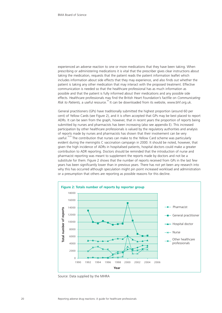experienced an adverse reaction to one or more medications that they have been taking. When prescribing or administering medications it is vital that the prescriber gives clear instructions about taking the medication, requests that the patient reads the patient information leaflet which includes information about side effects that they may experience, and also finds out whether the patient is taking any other medication that may interact with the proposed treatment. Effective communication is needed so that the healthcare professional has as much information as possible and that the patient is fully informed about their medications and any possible side effects. Healthcare professionals may find the British Heart Foundation's factfile on *Communicating Risk to Patients, a useful resource*.<sup>58</sup> It can be downloaded from its website, www.bhf.org.uk.

General practitioners (GPs) have traditionally submitted the highest proportion (around 60 per cent) of Yellow Cards (see Figure 2), and it is often accepted that GPs may be best placed to report ADRs. It can be seen from the graph, however, that in recent years the proportion of reports being submitted by nurses and pharmacists has been increasing (also see appendix E). This increased participation by other healthcare professionals is valued by the regulatory authorities and analysis of reports made by nurses and pharmacists has shown that their involvement can be very useful.<sup>19,20</sup> The contribution that nurses can make to the Yellow Card scheme was particularly evident during the meningitis C vaccination campaign in 2000. It should be noted, however, that given the high incidence of ADRs in hospitalised patients, hospital doctors could make a greater contribution to ADR reporting. Doctors should be reminded that the introduction of nurse and pharmacist reporting was meant to supplement the reports made by doctors and not be a substitute for them. Figure 2 shows that the number of reports received from GPs in the last few years has been significantly lower than in previous years. There has not yet been any research into why this has occurred although speculation might pin point increased workload and administration or a presumption that others are reporting as possible reasons for this decline.



Source: Data supplied by the MHRA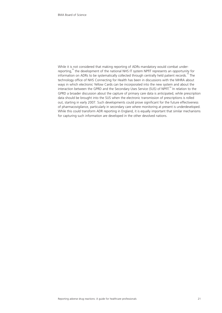While it is not considered that making reporting of ADRs mandatory would combat underreporting,50 the development of the national NHS IT system NPfIT represents an opportunity for information on ADRs to be systematically collected through centrally held patient records.<sup>16</sup> The technology office of NHS Connecting for Health has been in discussions with the MHRA about ways in which electronic Yellow Cards can be incorporated into the new system and about the interaction between the GPRD and the Secondary Uses Service (SUS) of NPfIT.<sup>59</sup> In relation to the GPRD a broader discussion about the capture of primary care data is anticipated, while prescription data should be brought into the SUS when the electronic transmission of prescriptions is rolled out, starting in early 2007. Such developments could prove significant for the future effectiveness of pharmacovigilance, particularly in secondary care where monitoring at present is underdeveloped. While this could transform ADR reporting in England, it is equally important that similar mechanisms for capturing such information are developed in the other devolved nations.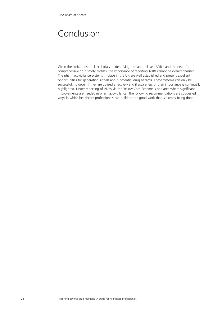# Conclusion

Given the limitations of clinical trials in identifying rare and delayed ADRs, and the need for comprehensive drug safety profiles, the importance of reporting ADRs cannot be overemphasised. The pharmacovigilance systems in place in the UK are well established and present excellent opportunities for generating signals about potential drug hazards. These systems can only be successful, however, if they are utilised effectively and if awareness of their importance is continually highlighted. Under-reporting of ADRs via the Yellow Card Scheme is one area where significant improvements are needed in pharmacovigilance. The following recommendations are suggested ways in which healthcare professionals can build on the good work that is already being done.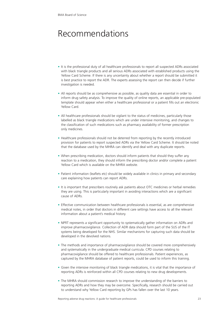# Recommendations

- It is the professional duty of all healthcare professionals to report all suspected ADRs associated with black triangle products and all serious ADRs associated with established products using the Yellow Card Scheme. If there is any uncertainty about whether a report should be submitted it is best practice to report the ADR. The experts assessing the report can then decide if further investigation is needed.
- All reports should be as comprehensive as possible, as quality data are essential in order to inform drug safety analysis. To improve the quality of online reports, an applicable pre-populated template should appear when either a healthcare professional or a patient fills out an electronic Yellow Card.
- All healthcare professionals should be vigilant to the status of medicines, particularly those labelled as black triangle medications which are under intensive monitoring, and changes to the classification of such medications such as pharmacy availability of former prescription only medicines.
- Healthcare professionals should not be deterred from reporting by the recently introduced provision for patients to report suspected ADRs via the Yellow Card Scheme. It should be noted that the database used by the MHRA can identify and deal with any duplicate reports.
- When prescribing medication, doctors should inform patients that should they suffer any reaction to a medication, they should inform the prescribing doctor and/or complete a patient Yellow Card which is available on the MHRA website.
- Patient information (leaflets etc) should be widely available in clinics in primary and secondary care explaining how patients can report ADRs.
- It is important that prescribers routinely ask patients about OTC medicines or herbal remedies they are using. This is particularly important in avoiding interactions which are a significant cause of ADRs.
- Effective communication between healthcare professionals is essential, as are comprehensive medical notes, in order that doctors in different care settings have access to all the relevant information about a patient's medical history.
- NPfIT represents a significant opportunity to systematically gather information on ADRs and improve pharmacovigilance. Collection of ADR data should form part of the SUS of the IT systems being developed for the NHS. Similar mechanisms for capturing such data should be developed in the devolved nations.
- The methods and importance of pharmacovigilance should be covered more comprehensively and systematically in the undergraduate medical curricula. CPD courses relating to pharmacovigilance should be offered to healthcare professionals. Patient experiences, as captured by the MHRA database of patient reports, could be used to inform this training.
- Given the intensive monitoring of black triangle medications, it is vital that the importance of reporting ADRs is reinforced within all CPD courses relating to new drug developments.
- The MHRA should commission research to improve the understanding of the barriers to reporting ADRs and how they may be overcome. Specifically, research should be carried out to understand why Yellow Card reporting by GPs has fallen over the last 10 years.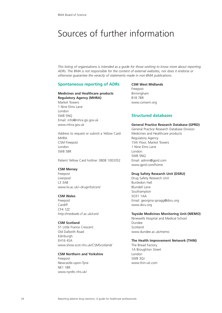# Sources of further information

*This listing of organisations is intended as a guide for those wishing to know more about reporting ADRs. The BMA is not responsible for the content of external websites, nor does it endorse or otherwise guarantee the veracity of statements made in non-BMA publications.*

## **Spontaneous reporting of ADRs**

### **Medicines and Healthcare products Regulatory Agency (MHRA)**

Market Towers 1 Nine Elms Lane London SW8 5NQ Email: info@mhra.gsi.gov.uk www.mhra.gov.uk

Address to request or submit a Yellow Card: **MHRA** CSM Freepost London SW8 5BR

Patient Yellow Card hotline: 0808 1003352

### **CSM Mersey**

Freepost Liverpool L3 3AB www.liv.ac.uk/~druginfo/csm/

### **CSM Wales**

Freepost Cardiff CF4 1ZZ http://medweb.cf.ac.uk/csm/

### **CSM Scotland**

51 Little France Crescent Old Dalkeith Road Edinburgh EH16 4SA www.show.scot.nhs.uk/CSMScotland/

### **CSM Northern and Yorkshire**

Freepost Newcastle-upon-Tyne NE1 1BR www.nyrdtc.nhs.uk/

### **CSM West Midlands** Freepost Birmingham B18 7BR www.csmwm.org

## **Structured databases**

### **General Practice Research Database (GPRD)**

General Practice Research Database Division Medicines and Healthcare products Regulatory Agency 15th Floor, Market Towers 1 Nine Elms Lane London SW8 5NQ Email: admin@gprd.com www.gprd.com/home

### **Drug Safety Research Unit (DSRU)**

Drug Safety Research Unit Bursledon Hall Blundell Lane Southampton SO31 1AA Email: georgina.spragg@dsru.org www.dsru.org

## **Tayside Medicines Monitoring Unit (MEMO)**

Ninewells Hospital and Medical School Dundee Scotland www.dundee.ac.uk/memo

### **The Health Improvement Network (THIN)**

The Bread Factory 1A Broughton Street London SW8 3QJ www.thin-uk.com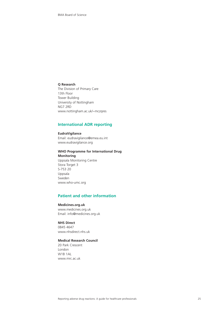#### **Q Research**

The Division of Primary Care 13th Floor Tower Building University of Nottingham NG7 2RD www.nottingham.ac.uk/~mczqres

## **International ADR reporting**

**EudraVigilance** Email: eudravigilance@emea.eu.int www.eudravigilance.org

## **WHO Programme for International Drug**

**Monitoring** Uppsala Monitoring Centre Stora Torget 3 S-753 20 Uppsala Sweden www.who-umc.org

## **Patient and other information**

### **Medicines.org.uk**

www.medicines.org.uk Email: info@medicines.org.uk

# **NHS Direct**

0845 4647 www.nhsdirect.nhs.uk

## **Medical Research Council**

20 Park Crescent London W1B 1AL www.mrc.ac.uk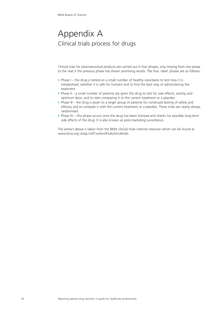# Appendix A Clinical trials process for drugs

Clinical trials for pharmaceutical products are carried out in four phases, only moving from one phase to the next if the previous phase has shown promising results. The four 'ideal' phases are as follows:

- Phase I the drug is tested on a small number of healthy volunteers to test how it is metabolised, whether it is safe for humans and to find the best way of administering the treatment.
- Phase II a small number of patients are given the drug to test for side effects, activity and optimum dose, and to start comparing it to the current treatment or a placebo.
- Phase III the drug is given to a larger group of patients for continued testing of safety and efficacy and to compare it with the current treatment or a placebo. These trials are nearly always randomised.
- Phase IV this phase occurs once the drug has been licensed and checks for possible long-term side effects of the drug. It is also known as post-marketing surveillance.

The extract above is taken from the BMA clinical trials internet resource which can be found at www.bma.org.uk/ap.nsf/Content/Hubclinicaltrials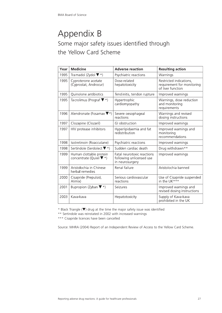# Appendix B Some major safety issues identified through the Yellow Card Scheme

| Year | <b>Medicine</b>                                                        | <b>Adverse reaction</b>                                                   | <b>Resulting action</b>                                                    |
|------|------------------------------------------------------------------------|---------------------------------------------------------------------------|----------------------------------------------------------------------------|
| 1995 | Tramadol (Zydol $\blacktriangledown$ *)                                | Psychiatric reactions                                                     | Warnings                                                                   |
| 1995 | Cyproterone acetate<br>(Cyprostat, Androcur)                           | Dose-related<br>hepatotoxicity                                            | Restricted indications,<br>requirement for monitoring<br>of liver function |
| 1995 | Quinolone antibiotics                                                  | Tendinitis, tendon rupture                                                | Improved warnings                                                          |
| 1995 | Tacrolimus (Prograf $\blacktriangledown$ *)                            | Hypertrophic<br>cardiomyopathy                                            | Warnings, dose reduction<br>and monitoring<br>requirements                 |
| 1996 | Alendronate (Fosamax ▼*)                                               | Severe oesophageal<br>reactions                                           | Warnings and revised<br>dosing instructions                                |
| 1997 | Clozapine (Clozaril)                                                   | GI obstruction                                                            | Improved warnings                                                          |
| 1997 | HIV protease inhibitors                                                | Hyperlipidaemia and fat<br>redistribution                                 | Improved warnings and<br>monitoring<br>recommendations                     |
| 1998 | Isotretinoin (Roaccutane)                                              | Psychiatric reactions                                                     | Improved warnings                                                          |
| 1998 | Sertindole (Serdolect ▼ *)                                             | Sudden cardiac death                                                      | Drug withdrawn**                                                           |
| 1999 | Human clottable protein<br>concentrate (Quixil $\blacktriangledown$ *) | Fatal neurotoxic reactions<br>following unlicensed use<br>in neurosurgery | Improved warnings                                                          |
| 1999 | Aristolochia in Chinese<br>herbal remedies                             | Renal failure                                                             | Aristolochia banned                                                        |
| 2000 | Cisapride (Prepulsid,<br>Alimix)                                       | Serious cardiovascular<br>reactions                                       | Use of Cisapride suspended<br>in the UK***                                 |
| 2001 | Bupropion (Zyban $\blacktriangledown$ *)                               | Seizures                                                                  | Improved warnings and<br>revised dosing instructions                       |
| 2003 | Kava-kava                                                              | Hepatotoxicity                                                            | Supply of Kava-kava<br>prohibited in the UK                                |

\* Black Triangle (▼) drug at the time the major safety issue was identified

\*\* Sertindole was reinstated in 2002 with increased warnings

\*\*\* Cisapride licences have been cancelled

Source: MHRA (2004) Report of an Independent Review of Access to the Yellow Card Scheme.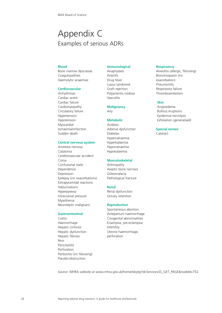# Appendix C Examples of serious ADRs

### **Blood**

Bone marrow dyscrasias Coagulopathies Haemolytic anaemias

### **Cardiovascular**

Arrhythmias Cardiac arrest Cardiac failure Cardiomyopathy Circulatory failure Hypertension Hypotension Myocardial Ischaemia/infarction Sudden death

### **Central nervous system**

Anorexia nervosa Catatonia Cerebrovascular accident Coma Confusional state Dependence Depression Epilepsy (inc exacerbations) Extrapyramidal reactions Hallucinations Hyperpyrexia Intracranial pressure Myasthenia Neuroleptic malignant

### **Gastrointestinal**

Colitis Haemorrhage Hepatic cirrhosis Hepatic dysfunction Hepatic fibrosis Ileus Pancreatitis Perforation Peritonitis (inc fibrosing) Pseudo-obstruction

### **Immunological**

Anaphylaxis Arteritis Drug fever Lupus syndrome Graft rejection Polyarteritis nodosa Vasculitis

**Malignancy** Any

### **Metabolic**

Acidosis Adrenal dysfunction Diabetes Hypercalcaemia Hyperkalaemia Hyponatraemia Hypokalaemia

### **Musculoskeletal**

Arthropathy Aseptic bone necrosis Osteomalacia Pathological fracture

### **Renal**

Renal dysfunction Urinary retention

#### **Reproduction**

Spontaneous abortion Antepartum haemorrhage Congenital abnormalities Eclampsia, pre-eclampsia Infertility Uterine haemorrhage, perforation

#### **Respiratory**

Alveolitis (allergic, fibrosing) Bronchospasm (inc exacerbation) Pneumonitis Respiratory failure Thromboembolism

### **Skin**

Angioedema Bullous eruptions Epidermal necrolysis Exfoliation (generalised)

#### **Special senses**

Cataract

Source: MHRA website at www.mhra.gov.uk/home/idcplg?IdcService=SS\_GET\_PAGE&nodeId=752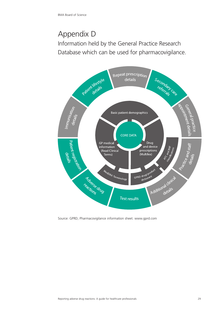# Appendix D Information held by the General Practice Research Database which can be used for pharmacovigilance.



Source: GPRD, Pharmacovigilance information sheet. www.gprd.com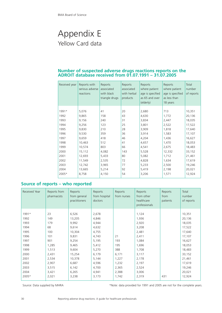# Appendix E Yellow Card data

# Received year Reports with Reports Reports Reports Reports Reports Reports Reports serious adverse associated  $\Box$  associated  $\Box$  where patient  $\Box$  where patient  $\Box$  number reactions with black with herbal age is specified age is specified of reports triangle drugs products as 65 and over as less than (elderly) 18 years 1991\* 5,076 41 20 2,680 713 10,351 1992 9,865 158 43 4,630 1,772 20,136 1993 9,156 240 31 3,834 2,447 18,035 1994 9,256 123 25 3,801 2,522 17,522 1995 | 9,830 | 210 | 28 | 3,909 | 1,818 | 17,640 1996 | 9,530 | 359 | 36 | 3,914 | 1,583 | 17,107 1997 | 9,659 | 418 | 46 | 4,204 | 1,436 | 16,627 1998 10,463 512 41 4,657 1,470 18,053 1999 10,574 803 66 4,541 2,675 18,483 2000 15,112 4,082 143 5,528 12,332 33,152 2001 12,693 5,433 80 5,082 1,712 21,461 2002 11,549 2,535 72 4,828 1,634 17,619 2003 12,742 3,965 77 5,233 2,500 19,246 2004 13,665 5,214 92 5,419 2,198 20,021 2005\* 8,758 4,150 54 3,206 1,571 12,924

# **Number of suspected adverse drugs reactions reports on the ADROIT database received from 01.07.1991 – 31.07.2005**

# **Source of reports – who reported**

| Received Year                                                                                                 | Reports from<br>pharmacists                                                                                | Reports<br>from general<br>practitioners                                                                                       | Reports<br>from hospital<br>doctors                                                                                        | Reports<br>from nurses                                               | Reports<br>from other<br>healthcare<br>professionals                                                                       | Reports<br>from<br>patients | Total<br>number<br>of reports                                                                                                            |
|---------------------------------------------------------------------------------------------------------------|------------------------------------------------------------------------------------------------------------|--------------------------------------------------------------------------------------------------------------------------------|----------------------------------------------------------------------------------------------------------------------------|----------------------------------------------------------------------|----------------------------------------------------------------------------------------------------------------------------|-----------------------------|------------------------------------------------------------------------------------------------------------------------------------------|
| 1991*<br>1992<br>1993<br>1994<br>1995<br>1996<br>1997<br>1998<br>1999<br>2000<br>2001<br>2002<br>2003<br>2004 | 23<br>149<br>179<br>68<br>100<br>101<br>901<br>1,285<br>1,513<br>2,431<br>2,534<br>2,907<br>3,515<br>3,421 | 6,526<br>13,205<br>9,992<br>9,614<br>10,304<br>9,831<br>9,254<br>9,465<br>9,604<br>15,254<br>10,378<br>6,687<br>6,142<br>6,265 | 2,678<br>4,846<br>4,944<br>4,632<br>4,755<br>4,743<br>5,195<br>5,412<br>5,270<br>6,179<br>5,144<br>4,596<br>4,700<br>4,941 | 21<br>193<br>195<br>388<br>6,171<br>1,227<br>1,232<br>2,365<br>2,388 | 1,124<br>1,936<br>2,920<br>3,208<br>2,481<br>2,411<br>1,084<br>1,696<br>1,708<br>3,117<br>2,178<br>2,197<br>2,524<br>3,006 |                             | 10,351<br>20,136<br>18,035<br>17,522<br>17,640<br>17,107<br>16,627<br>18,053<br>18,483<br>33,152<br>21,461<br>17,619<br>19,246<br>20,021 |
| 2005*                                                                                                         | 2,021                                                                                                      | 3,238                                                                                                                          | 3,173                                                                                                                      | 1,742                                                                | 2,319                                                                                                                      | 431                         | 12,924                                                                                                                                   |

Source: Data supplied by MHRA \* \*Note: data provided for 1991 and 2005 are not for the complete years.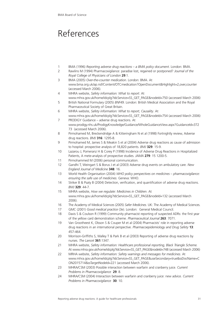# References

- 1 BMA (1996) *Reporting adverse drug reactions a BMA policy document*. London: BMA.
- 2 Rawlins M (1994) Pharmacovigilance: paradise lost, regained or postponed? *Journal of the Royal College of Physicians of London* **29**:1.
- 3 BMA (2005) *Over-the-counter medication*. London: BMA. At www.bma.org.uk/ap.nsf/Content/OTCmedication?OpenDocument&Highlight=2,over,counter (accessed March 2006).
- 4 MHRA website, *Safety information: What to report*. At
- www.mhra.gov.uk/home/idcplg?IdcService=SS\_GET\_PAGE&nodeId=750 (accessed March 2006)
- 5 British National Formulary (2005) *BNF49*. London: British Medical Association and the Royal Pharmaceutical Society of Great Britain.
- 6 MHRA website, *Safety information: What to report, Causality*. At www.mhra.gov.uk/home/idcplg?IdcService=SS\_GET\_PAGE&nodeId=754 (accessed March 2006)
- 7 PRODIGY Guidance adverse drug reactions. At www.prodigy.nhs.uk/ProdigyKnowledge/Guidance/WholeGuidanceView.aspx?GuidanceId=372 73 (accessed March 2006).
- 8 Pirmohamed M, Breckendridge A & Kitteringham N et al (1998) Fortnightly review, Adverse drug reactions. *BMJ* **316**: 1295-8.
- 9 Pirmohamed M, James S & Meakin S et al (2004) Adverse drug reactions as cause of admission to hospital: prospective analysis of 18,820 patients. *BMJ* **329**: 15-9.
- 10 Lazarou J, Pomeranz H & Corey P (1998) Incidence of Adverse Drug Reactions in Hospitalized Patients, A mete-analysis of prospective studies. *JAMA* **279**: 15 1200-5.
- 11 Pirmohammed M (2006) personal communication.
- 12 Gandhi T, Weingart S & Borus J et al (2003) Adverse drug events on ambulatory care. *New England Journal of Medicine* **348**: 16.
- 13 World Health Organisation (2004) *WHO policy perspectives on medicines pharmacovigilance: ensuring the safe use of medicines.* Geneva: WHO.
- 14 Striker B & Psaty B (2004) Detection, verification, and quantification of adverse drug reactions. *BMJ* **329**: 44-7.
- 15 MHRA website, *How we regulate: Medicines in Children*. At www.mhra.gov.uk/home/idcplg?IdcService=SS\_GET\_PAGE&nodeId=132 (accessed March 2006).
- 16 The Academy of Medical Sciences (2005) *Safer Medicines*. UK: The Academy of Medical Sciences.
- 17 GMC (2001) *Good medical practice* (3e). London: General Medical Council.
- 18 Davis S & Coulson R (1999) Community pharmacist reporting of suspected ADRs: the first year of the yellow card demonstration scheme. *Pharmaceutical Journal* **263**: 7071.
- 19 Van Grootheest K, Olsson S & Couper M et al (2004) Pharmacists' role in reporting adverse drug reactions in an international perspective. *Pharmacoepidemiology and Drug Safety* **13**: 457-464.
- 20 Morrison-Griffiths S, Walley T & Park B et al (2003) Reporting of adverse drug reactions by nurses. *The Lancet* **361**:1347.
- 21 MHRA website, *Safety information: Healthcare professional reporting, Black Triangle Scheme.* At www.mhra.gov.uk/home/idcplg?IdcService=SS\_GET\_PAGE&nodeId=748 (accessed March 2006)
- 22 MRHA website, *Safety information: Safety warnings and messages for medicines*. At www.mhra.gov.uk/home/idcplg?IdcService=SS\_GET\_PAGE&useSecondary=true&ssDocName=C ON2015714&ssTargetNodeId=221 (accessed March 2006).
- 23 MHRA/CSM (2003) Possible interaction between warfarin and cranberry juice. *Current Problems in Pharmacovigilance* **29**: 8.
- 24 MHRA/CSM (2004) Interaction between warfarin and cranberry juice: new advice. *Current Problems in Pharmacovigilance* **30**: 10.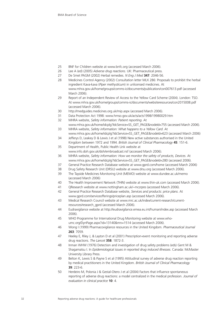- 25 BNF for Children website at www.bnfc.org (accessed March 2006).
- 26 Lee A (ed) (2005) *Adverse drug reactions*. UK: Pharmaceutical press.
- 27 De Smet PAGM (2002) Herbal remedies. *N Eng J Med* **347**: 2046-56.
- 28 Medicines Control Agency (2002) Consultation letter MLX 286: Proposals to prohibit the herbal ingredient Kava-kava (*Piper methysticum*) in unlicensed medicines. At www.mhra.gov.uk/home/groups/comms-ic/documents/publication/con007613.pdf (accessed March 2006).
- 29 Report of an Independent Review of Access to the Yellow Card Scheme (2004). London: TSO. At www.mhra.gov.uk/home/groups/comms-ic/documents/websiteresources/con2015008.pdf (accessed March 2006).
- 30 http://medguides.medicines.org.uk/mip.aspx (accessed March 2006).
- 31 Data Protection Act 1998: www.hmso.gov.uk/acts/acts1998/19980029.htm
- 32 MHRA website, *Safety information: Patient reporting*. At
- www.mhra.gov.uk/home/idcplg?IdcService=SS\_GET\_PAGE&nodeId=755 (accessed March 2006). 33 MHRA website, *Safety information: What happens to a Yellow Card*. At
- www.mhra.gov.uk/home/idcplg?IdcService=SS\_GET\_PAGE&nodeId=623 (accessed March 2006) 34 Jefferys D, Leakey D & Lewis J et al (1998) New active substances authorised in the United
- Kingdom between 1972 and 1994. *British Journal of Clinical Pharmacology* **45**: 151-6. 35 Department of Health, Public Health Link website at
- www.info.doh.gov.uk/doh/embroadcast.nsf (accessed March 2006).
- 36 MHRA website, *Safety information: How we monitor the safety of products, Devices*. At www.mhra.gov.uk/home/idcplg?IdcService=SS\_GET\_PAGE&nodeId=280 (accessed 2006).
- 37 General Practice Research Database website at www.gprd.com/home (accessed March 2006)
- 38 Drug Safety Research Unit (DRSU) website at www.drsu.org (accessed March 2006).
- 39 The Tayside Medicines Monitoring Unit (MEMO) website at www.dundee.ac.uk/memo (accessed March 2006)
- 40 The Health Improvement Network (THIN) website at www.thin-uk.com (accessed March 2006).
- 41 QResearch website at www.nottingham.ac.uk/~mczqres (accessed March 2006).
- 42 General Practice Research Database website, *Services and products: price plans*. At www.gprd.com/serviceofferings/priceplan.asp (accessed March 2006).
- 43 Medical Research Council website at www.mrc.ac.uk/index/current-research/currentresources/research\_gprd (accessed March 2006).
- 44 Eudravigilance website at http://eudravigilance.emea.eu.int/human/index.asp (accessed March 2006).
- 45 WHO Programme for International Drug Monitoring website at www.whoumc.org/DynPage.aspx?id=13140&mn=1514 (accessed March 2006).
- 46 Wong I (1999) Pharmacovigilance resources in the United Kingdom. *Pharmaceutical Journal* **263**: 7059.
- 47 Heeley E, Riley J, & Layton D et al (2001) Prescription-event monitoring and reporting adverse drug reactions. *The Lancet* **358**: 1872-3.
- 48 Inman WHW (1976) Detection and investigation of drug safety problems (eds) Gent M & Shagamatsu I. In *Epidemiological issues in reported drug induced illnesses*. Canada: McMaster University Library Press.
- 49 Belton K, Lewis S & Payne S et al (1995) Attitudinal survey of adverse drug reaction reporting by medical practitioners in the United Kingdom. *British Journal of Clinical Pharmacology*  **39**: 223-6.
- 50 Herdeiro M, Polonia J & Gestal-Otero J et al (2004) Factors that influence spontaneous reporting of adverse drug reactions: a model centralized in the medical profession. *Journal of evaluation in clinical practice* **10**: 4.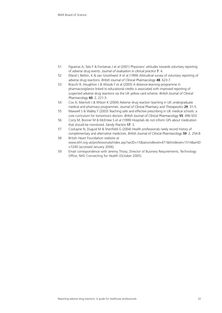- 51 Figueiras A, Tato F & Fontainas J et al (2001) Physicians' attitudes towards voluntary reporting of adverse drug events. *Journal of evaluation in clinical practice* **7**: 4.
- 52 Elland I, Belton, K & van Grootheest A et al (1999) Attitudinal survey of voluntary reporting of adverse drug reactions. *British Journal of Clinical Pharmacology* **48**: 623-7.
- 53 Bracchi R, Houghton J & Woods F et al (2005) A distance-learning programme in pharmacovigilance linked to educational credits is associated with improved reporting of suspected adverse drug reactions via the UK yellow card scheme. *British Journal of Clinical Pharmacology* **60**: 2, 221-3.
- 54 Cox A, Marriott J & Wilson K (2004) Adverse drug reaction teaching in UK undergraduate medical and pharmacy programmes. *Journal of Clinical Pharmacy and Therapeutics* **29**: 31-5.
- 55 Maxwell S & Walley T (2003) Teaching safe and effective prescribing in UK medical schools: a core curriculum for tomorrow's doctors. *British Journal of Clinical Pharmacology* **55**: 496-503.
- 56 Corry M, Bonner M & McEntee S et al (1999) Hospitals do not inform GPs about medication that should be monitored. *Family Practice* **17**: 3.
- 57 Cockayne N, Duguid M & Shenfield G (2004) Health professionals rarely record history of complementary and alternative medicines. *British Journal of Clinical Pharmacology* **59**: 2, 254-8
- 58 British Heart Foundation website at www.bhf.org.uk/professionals/index.asp?secID=15&secondlevel=471&thirdlevel=1514&artID =7240 (accessed January 2006).
- 59 Email correspondence with Jeremy Thorp, Director of Business Requirements, Technology Office, NHS Connecting for Health (October 2005).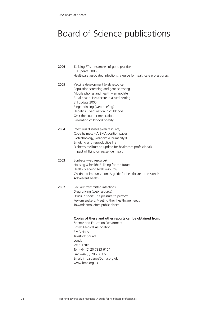# Board of Science publications

| 2006 | Tackling STIs - examples of good practice<br>STI update 2006<br>Healthcare associated infections: a guide for healthcare professionals                                                                                                                                                                                           |
|------|----------------------------------------------------------------------------------------------------------------------------------------------------------------------------------------------------------------------------------------------------------------------------------------------------------------------------------|
| 2005 | Vaccine development (web resource)<br>Population screening and genetic testing<br>Mobile phones and health - an update<br>Rural health: Healthcare in a rural setting<br>STI update 2005<br>Binge drinking (web briefing)<br>Hepatitis B vaccination in childhood<br>Over-the-counter medication<br>Preventing childhood obesity |
| 2004 | Infectious diseases (web resource)<br>Cycle helmets - A BMA position paper<br>Biotechnology, weapons & humanity II<br>Smoking and reproductive life<br>Diabetes mellitus: an update for healthcare professionals<br>Impact of flying on passenger health                                                                         |
| 2003 | Sunbeds (web resource)<br>Housing & health: Building for the future<br>Health & ageing (web resource)<br>Childhood immunisation: A guide for healthcare professionals<br>Adolescent health                                                                                                                                       |
| 2002 | Sexually transmitted infections<br>Drug driving (web resource)<br>Drugs in sport: The pressure to perform<br>Asylum seekers: Meeting their healthcare needs.<br>Towards smokefree public places                                                                                                                                  |
|      | Copies of these and other reports can be obtained from:<br>Science and Education Department<br><b>British Medical Association</b><br><b>BMA House</b><br>Tavistock Square<br>London<br>WC1H 9JP<br>Tel: +44 (0) 20 7383 6164<br>Fax: +44 (0) 20 7383 6383<br>Email: info.science@bma.org.uk<br>www.bma.org.uk                    |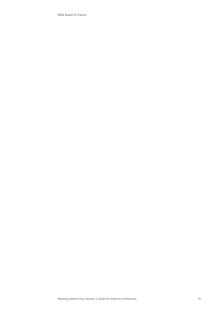BMA Board of Science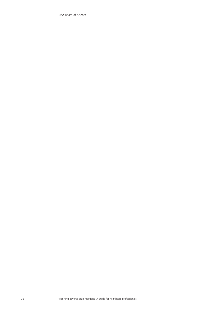BMA Board of Science